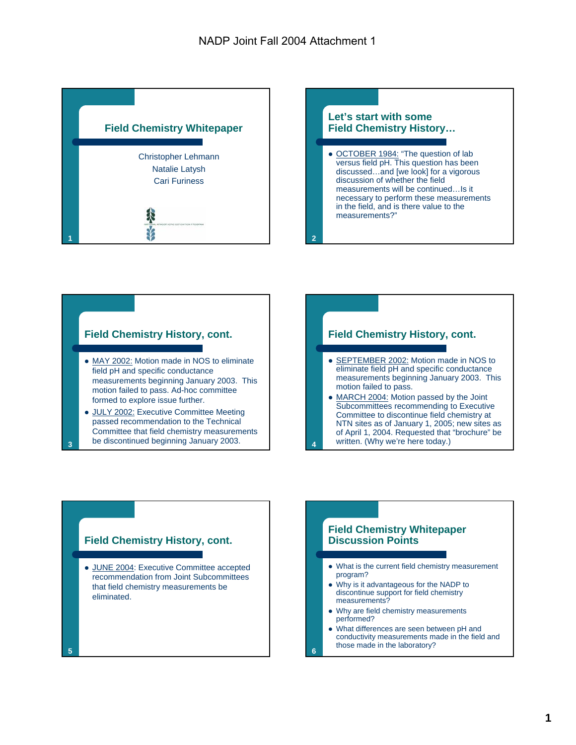



#### **Field Chemistry History, cont.**

- MAY 2002: Motion made in NOS to eliminate field pH and specific conductance measurements beginning January 2003. This motion failed to pass. Ad-hoc committee formed to explore issue further.
- JULY 2002: Executive Committee Meeting passed recommendation to the Technical Committee that field chemistry measurements be discontinued beginning January 2003. **<sup>4</sup>**

**3**

#### **Field Chemistry History, cont.**

- SEPTEMBER 2002: Motion made in NOS to eliminate field pH and specific conductance measurements beginning January 2003. This motion failed to pass.
- MARCH 2004: Motion passed by the Joint Subcommittees recommending to Executive Committee to discontinue field chemistry at NTN sites as of January 1, 2005; new sites as of April 1, 2004. Requested that "brochure" be written. (Why we're here today.)



#### **Field Chemistry Whitepaper Discussion Points**

- What is the current field chemistry measurement program?
- Why is it advantageous for the NADP to discontinue support for field chemistry measurements?
- Why are field chemistry measurements performed?

**6**

• What differences are seen between pH and conductivity measurements made in the field and those made in the laboratory?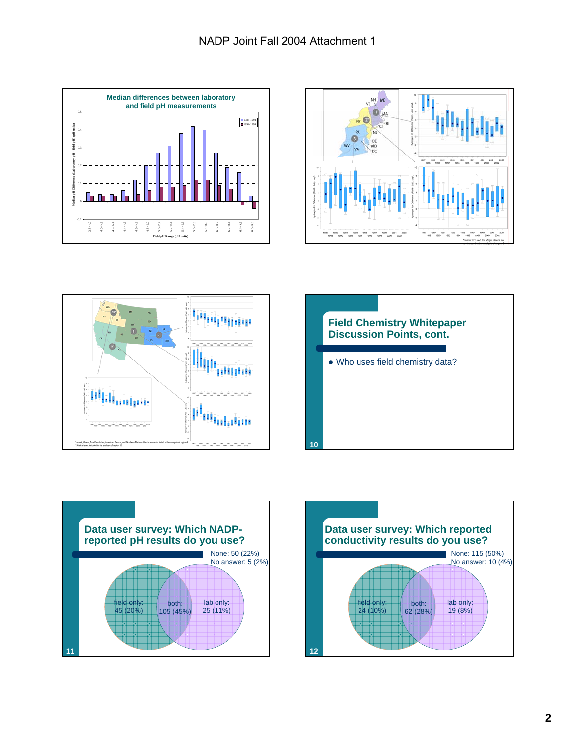









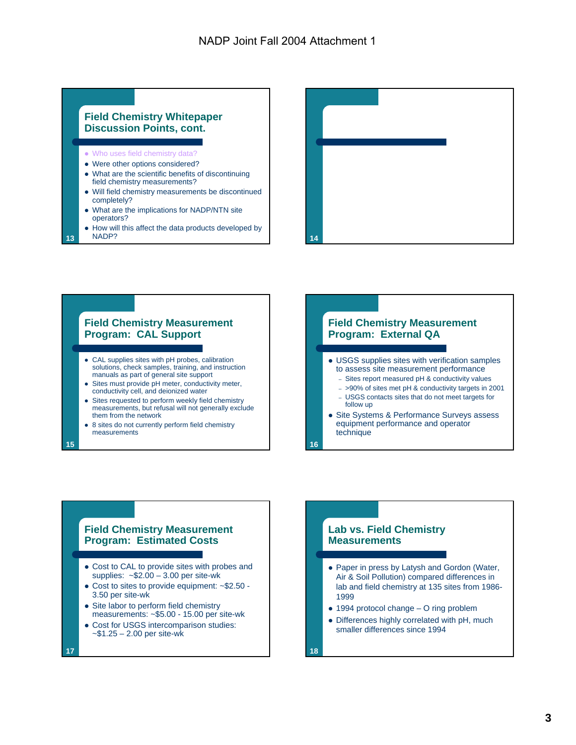#### **Field Chemistry Whitepaper Discussion Points, cont.**

- Who uses field chemistry data?
- Were other options considered?
- What are the scientific benefits of discontinuing field chemistry measurements?
- Will field chemistry measurements be discontinued completely?
- What are the implications for NADP/NTN site operators?
- How will this affect the data products developed by<br>NADP? NADP? **14**



# **Field Chemistry Measurement Program: CAL Support**

- CAL supplies sites with pH probes, calibration solutions, check samples, training, and instruction manuals as part of general site support
- Sites must provide pH meter, conductivity meter, conductivity cell, and deionized water
- Sites requested to perform weekly field chemistry measurements, but refusal will not generally exclude them from the network
- 8 sites do not currently perform field chemistry measurements

#### **Field Chemistry Measurement Program: External QA** • USGS supplies sites with verification samples to assess site measurement performance – Sites report measured pH & conductivity values – >90% of sites met pH & conductivity targets in 2001 – USGS contacts sites that do not meet targets for

- follow up • Site Systems & Performance Surveys assess
- equipment performance and operator technique

# **Field Chemistry Measurement**

- **Program: Estimated Costs**
- Cost to CAL to provide sites with probes and supplies:  $\approx$ \$2.00 – 3.00 per site-wk
- $\bullet$  Cost to sites to provide equipment:  $\sim$ \$2.50 -3.50 per site-wk
- Site labor to perform field chemistry measurements: ~\$5.00 - 15.00 per site-wk
- Cost for USGS intercomparison studies: ~\$1.25 – 2.00 per site-wk

**17**

**13**

**15**

# **Lab vs. Field Chemistry Measurements**

- Paper in press by Latysh and Gordon (Water, Air & Soil Pollution) compared differences in lab and field chemistry at 135 sites from 1986- 1999
- $\bullet$  1994 protocol change O ring problem
- Differences highly correlated with pH, much smaller differences since 1994

**18**

**16**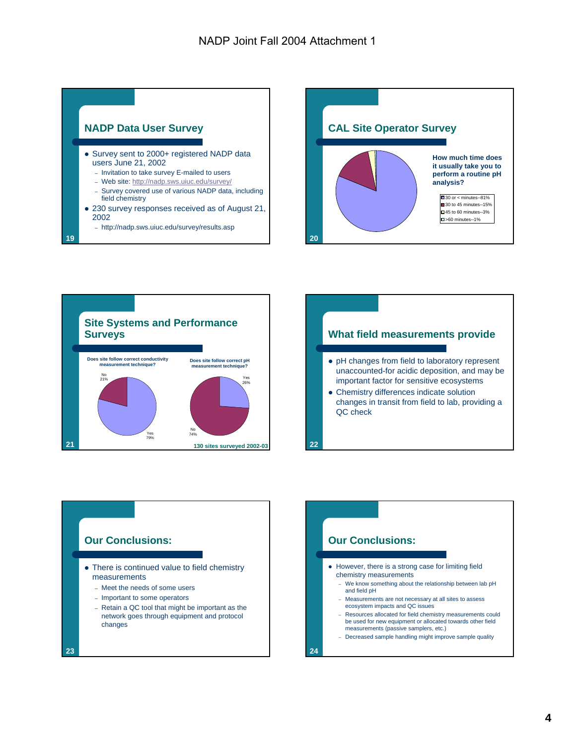

- Survey sent to 2000+ registered NADP data users June 21, 2002
	- Invitation to take survey E-mailed to users
	- Web site: http://nadp.sws.uiuc.edu/survey/
	- Survey covered use of various NADP data, including field chemistry
- 230 survey responses received as of August 21, 2002
	- http://nadp.sws.uiuc.edu/survey/results.asp

**19**









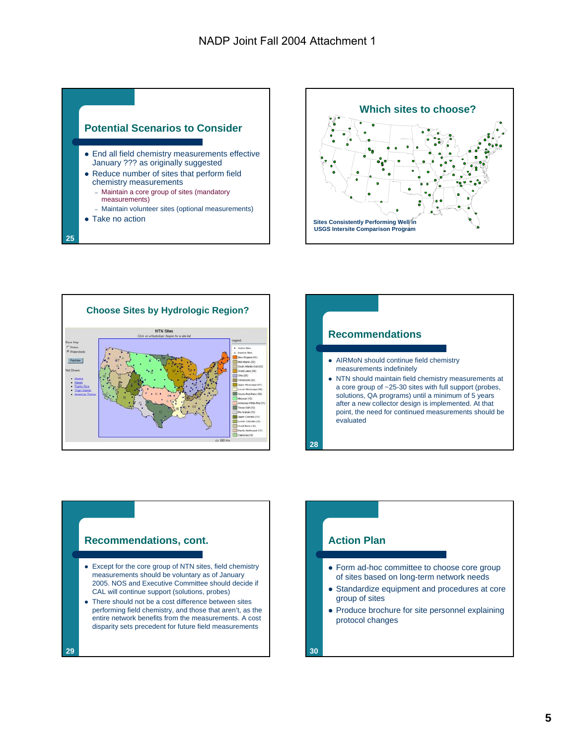









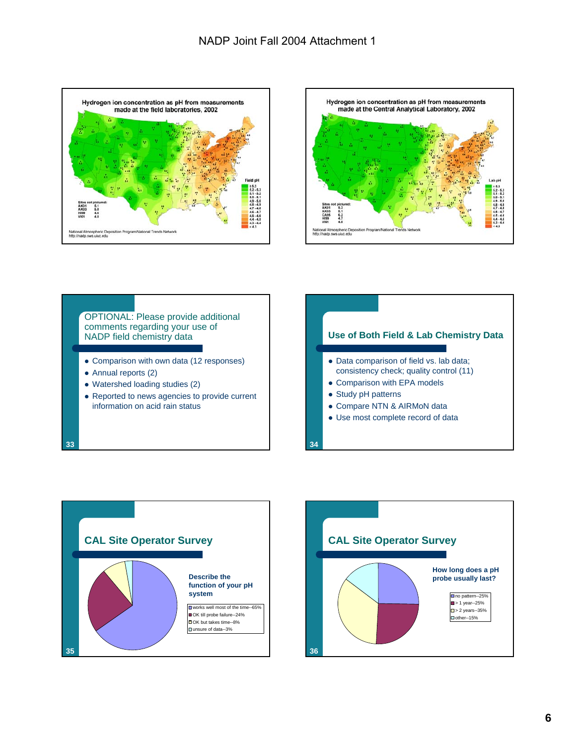







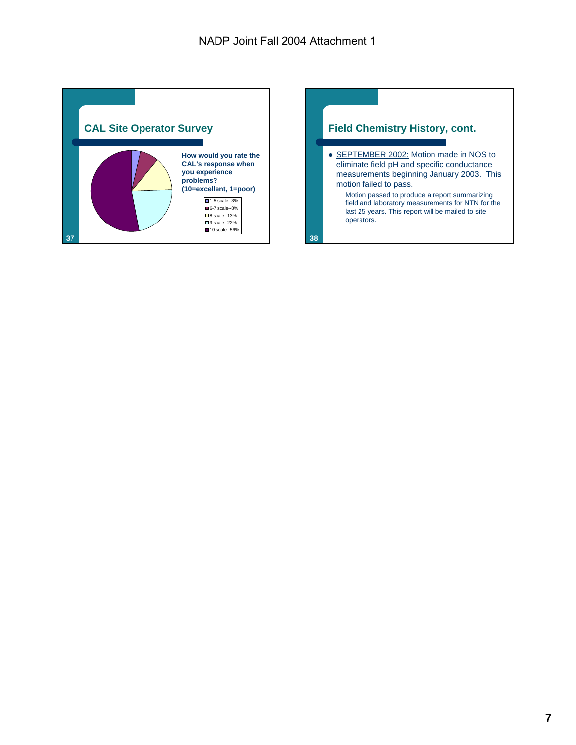

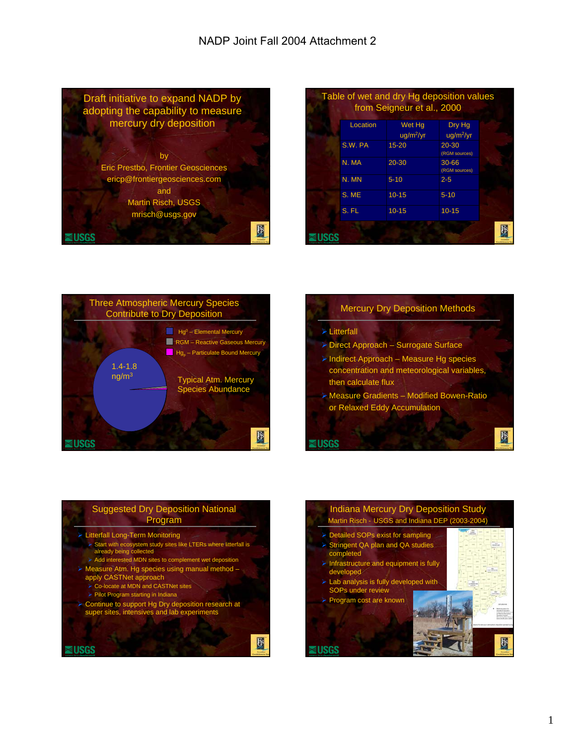

|          | Table of wet and dry Hg deposition values<br>from Seigneur et al., 2000 |                        |  |
|----------|-------------------------------------------------------------------------|------------------------|--|
| Location | Wet Ha<br>$uq/m^2/yr$                                                   | Dry Hg<br>$uq/m^2/yr$  |  |
| S.W. PA  | $15 - 20$                                                               | 20-30<br>(RGM sources) |  |
| N. MA    | $20 - 30$                                                               | 30-66<br>(RGM sources) |  |
| N. MN    | $5 - 10$                                                                | $2 - 5$                |  |
| S. ME    | $10 - 15$                                                               | $5 - 10$               |  |
| S. FL    | $10 - 15$                                                               | $10 - 15$              |  |
|          |                                                                         |                        |  |



#### Mercury Dry Deposition Methods

#### ¾ Litterfall

**EUSGS** 

图

- ¾ Direct Approach Surrogate Surface
- ¾ Indirect Approach Measure Hg species concentration and meteorological variables, then calculate flux
- ¾ Measure Gradients Modified Bowen-Ratio or Relaxed Eddy Accumulation



- 
- ¾ Add interested MDN sites to complement wet deposition
- Measure Atm. Hg species using manual method apply CASTNet approach
- ¾ Co-locate at MDN and CASTNet sites
- $\triangleright$  Pilot Program starting in Indiana
- ¾ Continue to support Hg Dry deposition research at super sites, intensives and lab experiments

**NUSGS** 

Indiana Mercury Dry Deposition Study Martin Risch - USGS and Indiana DEP (2003-2004) ¾ Detailed SOPs exist for sampling  $\triangleright$  Stringent QA plan and QA studies completed  $\blacktriangleright$  Infrastructure and equipment is fully developed  $\triangleright$  Lab analysis is fully developed with SOPs under review ¾ Program cost are known 图 **EUSGS** 

图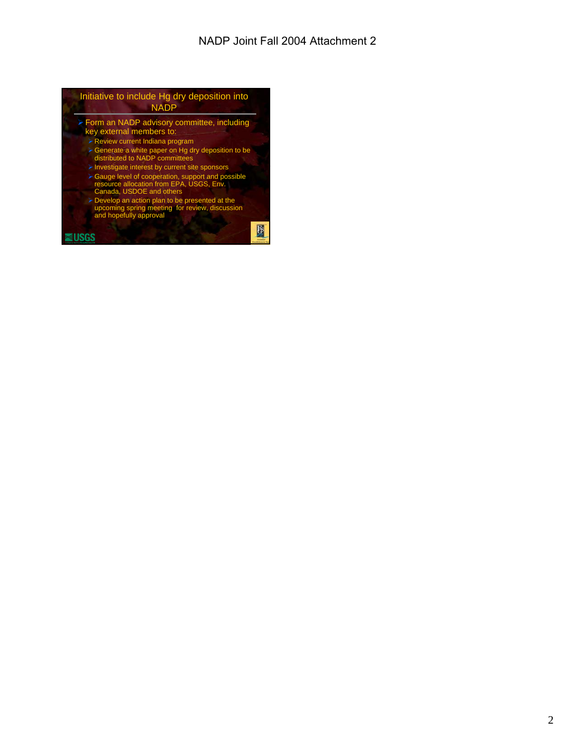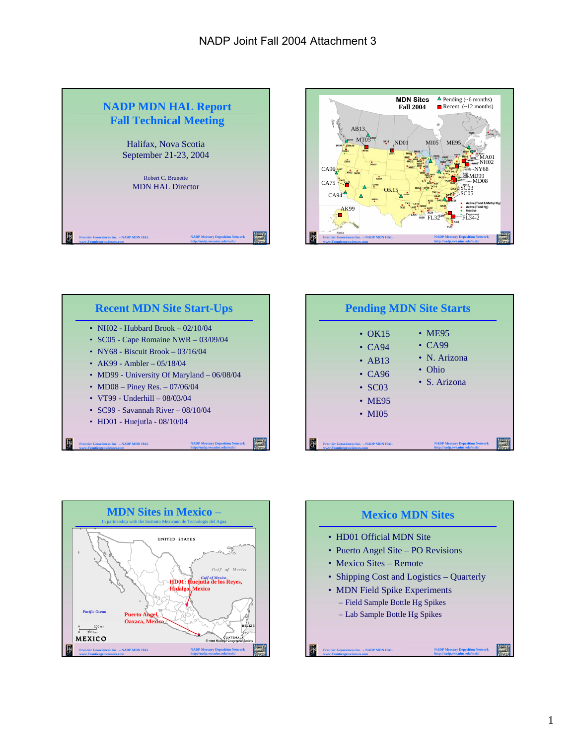









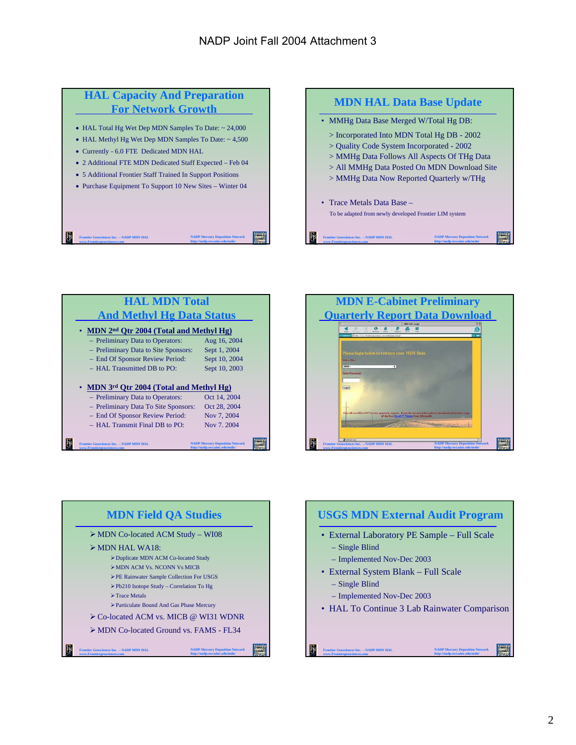# **HAL Capacity And Preparation For Network Growth**

- HAL Total Hg Wet Dep MDN Samples To Date: ~ 24,000
- HAL Methyl Hg Wet Dep MDN Samples To Date: ~ 4,500
- Currently 6.0 FTE Dedicated MDN HAL
- 2 Additional FTE MDN Dedicated Staff Expected Feb 04
- 5 Additional Frontier Staff Trained In Support Positions
- Purchase Equipment To Support 10 New Sites Winter 04

**NADP Mercury Deposition Network http://nadp.sws.uiuc.edu/mdn/**

**Frontier Geosciences Inc. – NADP MDN HAL www.Frontiergeosciences.com**









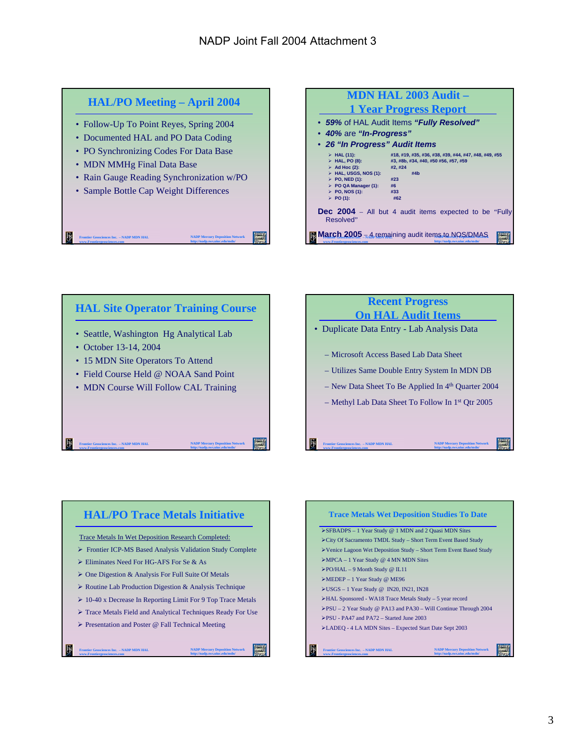









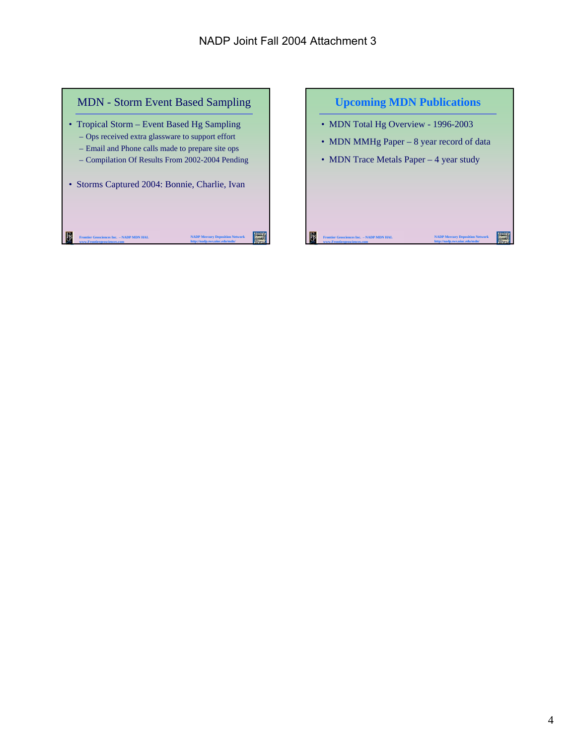

#### **Upcoming MDN Publications**

- MDN Total Hg Overview 1996-2003
- MDN MMHg Paper 8 year record of data

**NADP Mercury Deposition Network http://nadp.sws.uiuc.edu/mdn/**

• MDN Trace Metals Paper – 4 year study

**Frontier Geosciences Inc. – NADP MDN HAL www.Frontiergeosciences.com**

下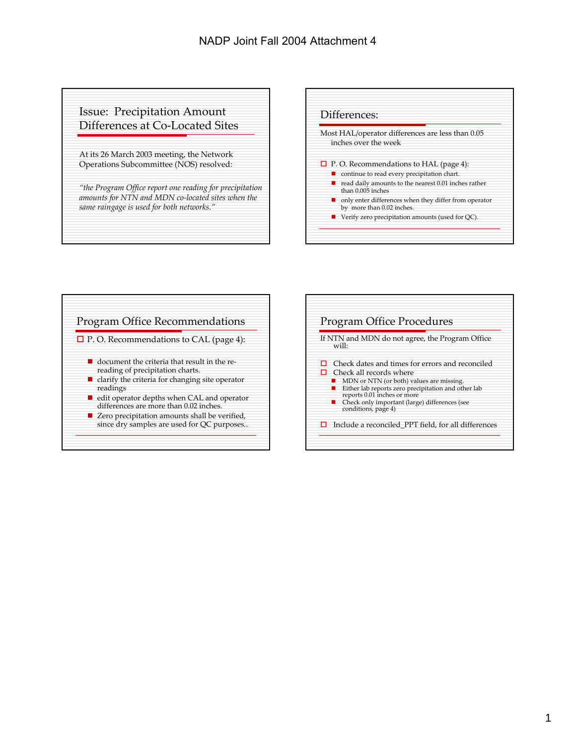### Issue: Precipitation Amount Differences at Co‐Located Sites

At its 26 March 2003 meeting, the Network Operations Subcommittee (NOS) resolved:

*"the Program Office report one reading for precipitation amounts for NTN and MDN co‐located sites when the same raingage is used for both networks."*





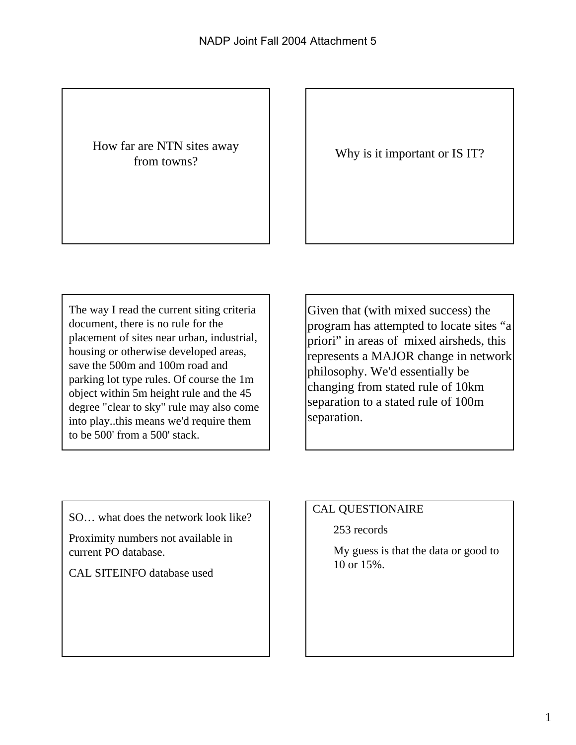# How far are NTN sites away

from towns?<br>
From towns?

The way I read the current siting criteria document, there is no rule for the placement of sites near urban, industrial, housing or otherwise developed areas, save the 500m and 100m road and parking lot type rules. Of course the 1m object within 5m height rule and the 45 degree "clear to sky" rule may also come into play..this means we'd require them to be 500' from a 500' stack.

Given that (with mixed success) the program has attempted to locate sites "a priori" in areas of mixed airsheds, this represents a MAJOR change in network philosophy. We'd essentially be changing from stated rule of 10km separation to a stated rule of 100m separation.

SO… what does the network look like?

Proximity numbers not available in current PO database.

CAL SITEINFO database used

# CAL QUESTIONAIRE

253 records

My guess is that the data or good to 10 or 15%.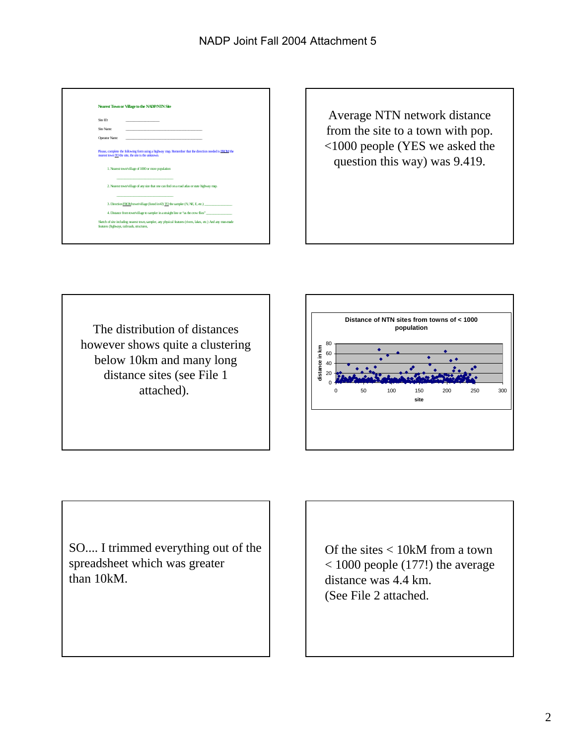| Nearest Town or Village to the NADP/NIN Site                                                                                                                                                                                                                                                                                                                                                                                         |  |  |                                                                                                                                                            |  |  |
|--------------------------------------------------------------------------------------------------------------------------------------------------------------------------------------------------------------------------------------------------------------------------------------------------------------------------------------------------------------------------------------------------------------------------------------|--|--|------------------------------------------------------------------------------------------------------------------------------------------------------------|--|--|
| Site ID                                                                                                                                                                                                                                                                                                                                                                                                                              |  |  |                                                                                                                                                            |  |  |
| Site Name:                                                                                                                                                                                                                                                                                                                                                                                                                           |  |  |                                                                                                                                                            |  |  |
| Operator Name:                                                                                                                                                                                                                                                                                                                                                                                                                       |  |  |                                                                                                                                                            |  |  |
| Please, complete the following form using a highway map. Remember that the direction needed is FROM the<br>rearest town TO the site, the site is the unknown.<br>1. Nearest town/village of 1000 or more population<br>------------------------------<br>2. Nearest town/village of any size that one can find on a road atlas or state highway map.<br>3. Direction FROM town/village (listed in#2) TO the sampler (N, NE, E, etc.) |  |  |                                                                                                                                                            |  |  |
|                                                                                                                                                                                                                                                                                                                                                                                                                                      |  |  |                                                                                                                                                            |  |  |
|                                                                                                                                                                                                                                                                                                                                                                                                                                      |  |  | Sketch of site including nearest town, sampler, any physical features (rivers, lakes, etc.) And any man-made<br>features (highways, railroads, structures, |  |  |
|                                                                                                                                                                                                                                                                                                                                                                                                                                      |  |  |                                                                                                                                                            |  |  |



The distribution of distances however shows quite a clustering below 10km and many long distance sites (see File 1 attached).



SO.... I trimmed everything out of the spreadsheet which was greater than 10kM.

Of the sites < 10kM from a town  $<$  1000 people (177!) the average distance was 4.4 km. (See File 2 attached.